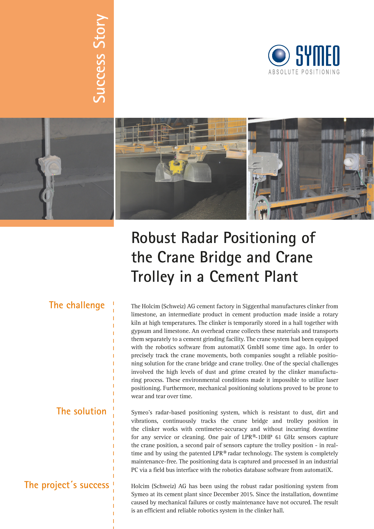



## **Robust Radar Positioning of the Crane Bridge and Crane Trolley in a Cement Plant**

# **The challenge**

**Success Story**

Success Story

**The solution**

### **The project´s success**

The Holcim (Schweiz) AG cement factory in Siggenthal manufactures clinker from limestone, an intermediate product in cement production made inside a rotary kiln at high temperatures. The clinker is temporarily stored in a hall together with gypsum and limestone. An overhead crane collects these materials and transports them separately to a cement grinding facility. The crane system had been equipped with the robotics software from automatiX GmbH some time ago. In order to precisely track the crane movements, both companies sought a reliable positioning solution for the crane bridge and crane trolley. One of the special challenges involved the high levels of dust and grime created by the clinker manufacturing process. These environmental conditions made it impossible to utilize laser positioning. Furthermore, mechanical positioning solutions proved to be prone to wear and tear over time.

Symeo's radar-based positioning system, which is resistant to dust, dirt and vibrations, continuously tracks the crane bridge and trolley position in the clinker works with centimeter-accuracy and without incurring downtime for any service or cleaning. One pair of LPR®-1DHP 61 GHz sensors capture the crane position, a second pair of sensors capture the trolley position - in realtime and by using the patented LPR® radar technology. The system is completely maintenance-free. The positioning data is captured and processed in an industrial PC via a field bus interface with the robotics database software from automatiX.

Holcim (Schweiz) AG has been using the robust radar positioning system from Symeo at its cement plant since December 2015. Since the installation, downtime caused by mechanical failures or costly maintenance have not occured. The result is an efficient and reliable robotics system in the clinker hall.